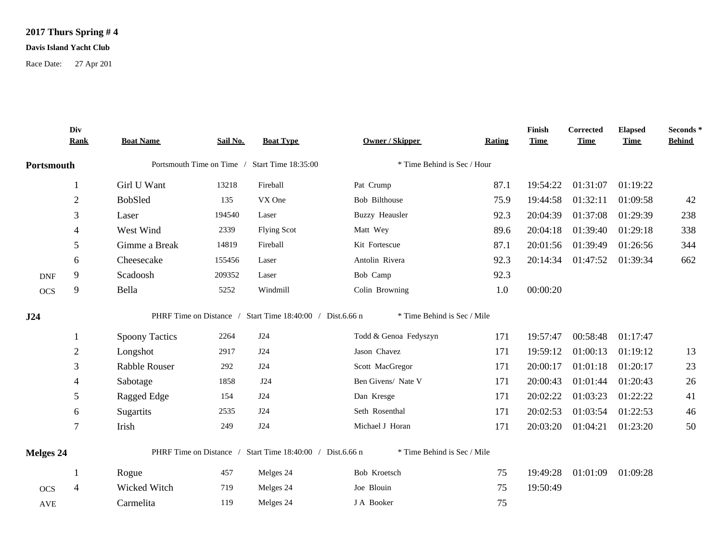## **2017 Thurs Spring # 4**

## **Davis Island Yacht Club**

Race Date: 27 Apr 201

|            | Div<br><b>Rank</b> | <b>Boat Name</b>      | Sail No. | <b>Boat Type</b>                                                 | <b>Owner / Skipper</b>                               | <b>Rating</b> | Finish<br><b>Time</b> | Corrected<br><b>Time</b> | <b>Elapsed</b><br><b>Time</b> | Seconds*<br><b>Behind</b> |
|------------|--------------------|-----------------------|----------|------------------------------------------------------------------|------------------------------------------------------|---------------|-----------------------|--------------------------|-------------------------------|---------------------------|
| Portsmouth |                    |                       |          | Portsmouth Time on Time / Start Time 18:35:00                    | * Time Behind is Sec / Hour                          |               |                       |                          |                               |                           |
|            |                    | Girl U Want           | 13218    | Fireball                                                         | Pat Crump                                            | 87.1          | 19:54:22              | 01:31:07                 | 01:19:22                      |                           |
|            | $\overline{2}$     | <b>BobSled</b>        | 135      | VX One                                                           | Bob Bilthouse                                        | 75.9          | 19:44:58              | 01:32:11                 | 01:09:58                      | 42                        |
|            | 3                  | Laser                 | 194540   | Laser                                                            | <b>Buzzy Heausler</b>                                | 92.3          | 20:04:39              | 01:37:08                 | 01:29:39                      | 238                       |
|            | 4                  | West Wind             | 2339     | <b>Flying Scot</b>                                               | Matt Wey                                             | 89.6          | 20:04:18              | 01:39:40                 | 01:29:18                      | 338                       |
|            | 5                  | Gimme a Break         | 14819    | Fireball                                                         | Kit Fortescue                                        | 87.1          | 20:01:56              | 01:39:49                 | 01:26:56                      | 344                       |
|            | 6                  | Cheesecake            | 155456   | Laser                                                            | Antolin Rivera                                       | 92.3          | 20:14:34              | 01:47:52                 | 01:39:34                      | 662                       |
| <b>DNF</b> | 9                  | Scadoosh              | 209352   | Laser                                                            | Bob Camp                                             | 92.3          |                       |                          |                               |                           |
| <b>OCS</b> | 9                  | Bella                 | 5252     | Windmill                                                         | Colin Browning                                       | 1.0           | 00:00:20              |                          |                               |                           |
| J24        |                    | <b>Spoony Tactics</b> | 2264     | PHRF Time on Distance / Start Time 18:40:00 / Dist.6.66 n<br>J24 | * Time Behind is Sec / Mile<br>Todd & Genoa Fedyszyn | 171           | 19:57:47              | 00:58:48                 | 01:17:47                      |                           |
|            | $\overline{2}$     | Longshot              | 2917     | J24                                                              | Jason Chavez                                         | 171           | 19:59:12              | 01:00:13                 | 01:19:12                      | 13                        |
|            | 3                  | Rabble Rouser         | 292      | J24                                                              | Scott MacGregor                                      | 171           | 20:00:17              | 01:01:18                 | 01:20:17                      | 23                        |
|            | 4                  | Sabotage              | 1858     | J24                                                              | Ben Givens/ Nate V                                   | 171           | 20:00:43              | 01:01:44                 | 01:20:43                      | 26                        |
|            | 5                  | Ragged Edge           | 154      | J24                                                              | Dan Kresge                                           | 171           | 20:02:22              | 01:03:23                 | 01:22:22                      | 41                        |
|            | 6                  | Sugartits             | 2535     | J24                                                              | Seth Rosenthal                                       | 171           | 20:02:53              | 01:03:54                 | 01:22:53                      | 46                        |
|            | $\tau$             | Irish                 | 249      | J24                                                              | Michael J Horan                                      | 171           | 20:03:20              | 01:04:21                 | 01:23:20                      | 50                        |
| Melges 24  |                    |                       |          | PHRF Time on Distance / Start Time 18:40:00 / Dist.6.66 n        | * Time Behind is Sec / Mile                          |               |                       |                          |                               |                           |
|            | -1                 | Rogue                 | 457      | Melges 24                                                        | Bob Kroetsch                                         | 75            | 19:49:28              |                          | 01:01:09 01:09:28             |                           |
| <b>OCS</b> | $\overline{4}$     | Wicked Witch          | 719      | Melges 24                                                        | Joe Blouin                                           | 75            | 19:50:49              |                          |                               |                           |
| <b>AVE</b> |                    | Carmelita             | 119      | Melges 24                                                        | J A Booker                                           | 75            |                       |                          |                               |                           |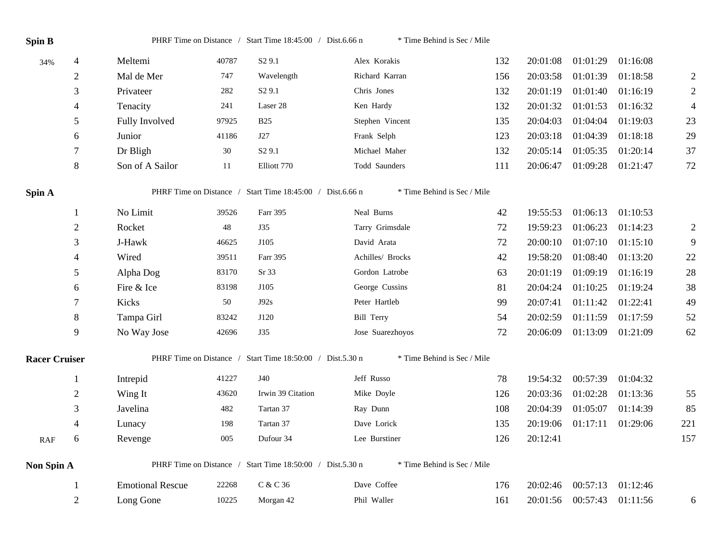| <b>Spin B</b>        |                |                         |       | PHRF Time on Distance / Start Time 18:45:00 / Dist.6.66 n | * Time Behind is Sec / Mile |     |          |          |          |                  |
|----------------------|----------------|-------------------------|-------|-----------------------------------------------------------|-----------------------------|-----|----------|----------|----------|------------------|
| 34%                  | 4              | Meltemi                 | 40787 | S <sub>2</sub> 9.1                                        | Alex Korakis                | 132 | 20:01:08 | 01:01:29 | 01:16:08 |                  |
|                      | $\overline{2}$ | Mal de Mer              | 747   | Wavelength                                                | Richard Karran              | 156 | 20:03:58 | 01:01:39 | 01:18:58 | $\overline{2}$   |
|                      | 3              | Privateer               | 282   | S <sub>2</sub> 9.1                                        | Chris Jones                 | 132 | 20:01:19 | 01:01:40 | 01:16:19 | $\mathbf{2}$     |
|                      | 4              | Tenacity                | 241   | Laser 28                                                  | Ken Hardy                   | 132 | 20:01:32 | 01:01:53 | 01:16:32 | $\overline{4}$   |
|                      | 5              | Fully Involved          | 97925 | <b>B25</b>                                                | Stephen Vincent             | 135 | 20:04:03 | 01:04:04 | 01:19:03 | 23               |
|                      | 6              | Junior                  | 41186 | J27                                                       | Frank Selph                 | 123 | 20:03:18 | 01:04:39 | 01:18:18 | 29               |
|                      | 7              | Dr Bligh                | 30    | S <sub>2</sub> 9.1                                        | Michael Maher               | 132 | 20:05:14 | 01:05:35 | 01:20:14 | 37               |
|                      | 8              | Son of A Sailor         | 11    | Elliott 770                                               | Todd Saunders               | 111 | 20:06:47 | 01:09:28 | 01:21:47 | 72               |
| Spin A               |                |                         |       | PHRF Time on Distance / Start Time 18:45:00 / Dist.6.66 n | * Time Behind is Sec / Mile |     |          |          |          |                  |
|                      | $\mathbf{1}$   | No Limit                | 39526 | Farr 395                                                  | Neal Burns                  | 42  | 19:55:53 | 01:06:13 | 01:10:53 |                  |
|                      | $\overline{2}$ | Rocket                  | 48    | <b>J35</b>                                                | Tarry Grimsdale             | 72  | 19:59:23 | 01:06:23 | 01:14:23 | $\boldsymbol{2}$ |
|                      | 3              | J-Hawk                  | 46625 | J105                                                      | David Arata                 | 72  | 20:00:10 | 01:07:10 | 01:15:10 | $\overline{9}$   |
|                      | 4              | Wired                   | 39511 | Farr 395                                                  | Achilles/ Brocks            | 42  | 19:58:20 | 01:08:40 | 01:13:20 | $22\,$           |
|                      | 5              | Alpha Dog               | 83170 | Sr 33                                                     | Gordon Latrobe              | 63  | 20:01:19 | 01:09:19 | 01:16:19 | 28               |
|                      | 6              | Fire & Ice              | 83198 | J105                                                      | George Cussins              | 81  | 20:04:24 | 01:10:25 | 01:19:24 | 38               |
|                      | 7              | Kicks                   | 50    | J92s                                                      | Peter Hartleb               | 99  | 20:07:41 | 01:11:42 | 01:22:41 | 49               |
|                      | 8              | Tampa Girl              | 83242 | J120                                                      | <b>Bill Terry</b>           | 54  | 20:02:59 | 01:11:59 | 01:17:59 | 52               |
|                      | 9              | No Way Jose             | 42696 | <b>J35</b>                                                | Jose Suarezhoyos            | 72  | 20:06:09 | 01:13:09 | 01:21:09 | 62               |
| <b>Racer Cruiser</b> |                |                         |       | PHRF Time on Distance / Start Time 18:50:00 / Dist.5.30 n | * Time Behind is Sec / Mile |     |          |          |          |                  |
|                      | 1              | Intrepid                | 41227 | <b>J40</b>                                                | Jeff Russo                  | 78  | 19:54:32 | 00:57:39 | 01:04:32 |                  |
|                      | $\overline{c}$ | Wing It                 | 43620 | Irwin 39 Citation                                         | Mike Doyle                  | 126 | 20:03:36 | 01:02:28 | 01:13:36 | 55               |
|                      | 3              | Javelina                | 482   | Tartan 37                                                 | Ray Dunn                    | 108 | 20:04:39 | 01:05:07 | 01:14:39 | 85               |
|                      | 4              | Lunacy                  | 198   | Tartan 37                                                 | Dave Lorick                 | 135 | 20:19:06 | 01:17:11 | 01:29:06 | 221              |
| RAF                  | 6              | Revenge                 | 005   | Dufour 34                                                 | Lee Burstiner               | 126 | 20:12:41 |          |          | 157              |
| Non Spin A           |                |                         |       | PHRF Time on Distance / Start Time 18:50:00 / Dist.5.30 n | * Time Behind is Sec / Mile |     |          |          |          |                  |
|                      | $\mathbf{1}$   | <b>Emotional Rescue</b> | 22268 | C & C 36                                                  | Dave Coffee                 | 176 | 20:02:46 | 00:57:13 | 01:12:46 |                  |
|                      | $\overline{2}$ | Long Gone               | 10225 | Morgan 42                                                 | Phil Waller                 | 161 | 20:01:56 | 00:57:43 | 01:11:56 | 6                |